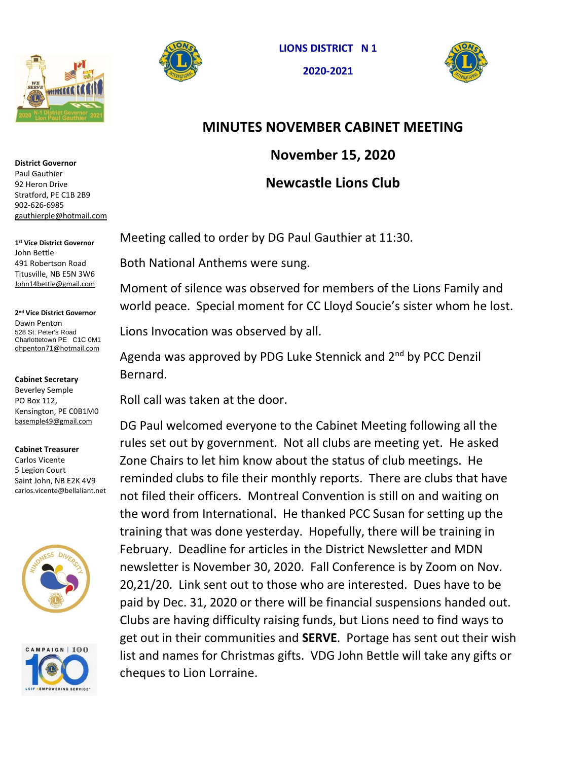





## **MINUTES NOVEMBER CABINET MEETING**

**November 15, 2020**

## **Newcastle Lions Club**

Paul Gauthier 92 Heron Drive Stratford, PE C1B 2B9 902-626-6985 [gauthierple@hotmail.com](about:blank)

**District Governor**

**1 st Vice District Governor**  John Bettle 491 Robertson Road Titusville, NB E5N 3W6 [John14bettle@gmail.com](about:blank)

**2 nd Vice District Governor** Dawn Penton 528 St. Peter's Road Charlottetown PE C1C 0M1 [dhpenton71@hotmail.com](about:blank)

**Cabinet Secretary** 

Beverley Semple PO Box 112, Kensington, PE C0B1M0 [basemple49@gmail.com](about:blank)

## **Cabinet Treasurer**

Carlos Vicente 5 Legion Court Saint John, NB E2K 4V9 carlos.vicente@bellaliant.net





Meeting called to order by DG Paul Gauthier at 11:30.

Both National Anthems were sung.

Moment of silence was observed for members of the Lions Family and world peace. Special moment for CC Lloyd Soucie's sister whom he lost.

Lions Invocation was observed by all.

Agenda was approved by PDG Luke Stennick and 2<sup>nd</sup> by PCC Denzil Bernard.

Roll call was taken at the door.

DG Paul welcomed everyone to the Cabinet Meeting following all the rules set out by government. Not all clubs are meeting yet. He asked Zone Chairs to let him know about the status of club meetings. He reminded clubs to file their monthly reports. There are clubs that have not filed their officers. Montreal Convention is still on and waiting on the word from International. He thanked PCC Susan for setting up the training that was done yesterday. Hopefully, there will be training in February. Deadline for articles in the District Newsletter and MDN newsletter is November 30, 2020. Fall Conference is by Zoom on Nov. 20,21/20. Link sent out to those who are interested. Dues have to be paid by Dec. 31, 2020 or there will be financial suspensions handed out. Clubs are having difficulty raising funds, but Lions need to find ways to get out in their communities and **SERVE**. Portage has sent out their wish list and names for Christmas gifts. VDG John Bettle will take any gifts or cheques to Lion Lorraine.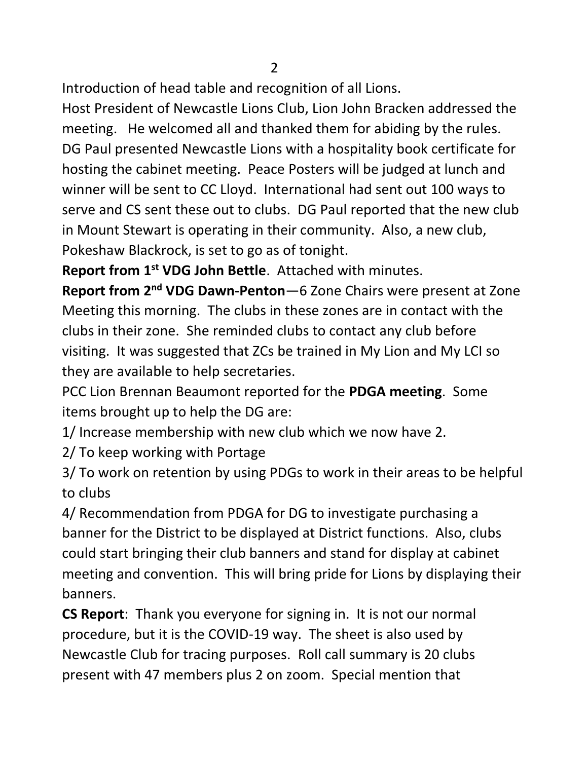Introduction of head table and recognition of all Lions.

Host President of Newcastle Lions Club, Lion John Bracken addressed the meeting. He welcomed all and thanked them for abiding by the rules. DG Paul presented Newcastle Lions with a hospitality book certificate for hosting the cabinet meeting. Peace Posters will be judged at lunch and winner will be sent to CC Lloyd. International had sent out 100 ways to serve and CS sent these out to clubs. DG Paul reported that the new club in Mount Stewart is operating in their community. Also, a new club, Pokeshaw Blackrock, is set to go as of tonight.

**Report from 1st VDG John Bettle**. Attached with minutes.

**Report from 2nd VDG Dawn-Penton**—6 Zone Chairs were present at Zone Meeting this morning. The clubs in these zones are in contact with the clubs in their zone. She reminded clubs to contact any club before visiting. It was suggested that ZCs be trained in My Lion and My LCI so they are available to help secretaries.

PCC Lion Brennan Beaumont reported for the **PDGA meeting**. Some items brought up to help the DG are:

1/ Increase membership with new club which we now have 2.

2/ To keep working with Portage

3/ To work on retention by using PDGs to work in their areas to be helpful to clubs

4/ Recommendation from PDGA for DG to investigate purchasing a banner for the District to be displayed at District functions. Also, clubs could start bringing their club banners and stand for display at cabinet meeting and convention. This will bring pride for Lions by displaying their banners.

**CS Report**: Thank you everyone for signing in. It is not our normal procedure, but it is the COVID-19 way. The sheet is also used by Newcastle Club for tracing purposes. Roll call summary is 20 clubs present with 47 members plus 2 on zoom. Special mention that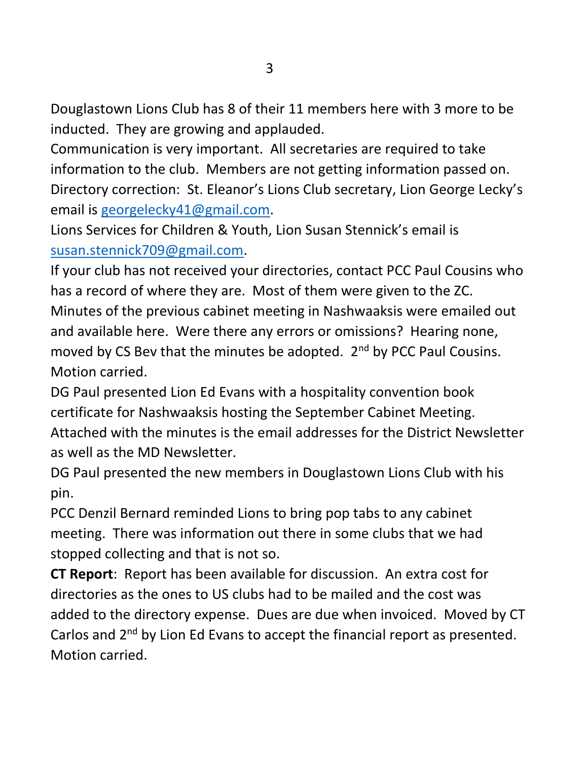Douglastown Lions Club has 8 of their 11 members here with 3 more to be inducted. They are growing and applauded.

Communication is very important. All secretaries are required to take information to the club. Members are not getting information passed on. Directory correction: St. Eleanor's Lions Club secretary, Lion George Lecky's email is [georgelecky41@gmail.com.](mailto:georgelecky41@gmail.com)

Lions Services for Children & Youth, Lion Susan Stennick's email is [susan.stennick709@gmail.com.](mailto:susan.stennick709@gmail.com)

If your club has not received your directories, contact PCC Paul Cousins who has a record of where they are. Most of them were given to the ZC. Minutes of the previous cabinet meeting in Nashwaaksis were emailed out and available here. Were there any errors or omissions? Hearing none, moved by CS Bev that the minutes be adopted. 2<sup>nd</sup> by PCC Paul Cousins. Motion carried.

DG Paul presented Lion Ed Evans with a hospitality convention book certificate for Nashwaaksis hosting the September Cabinet Meeting. Attached with the minutes is the email addresses for the District Newsletter as well as the MD Newsletter.

DG Paul presented the new members in Douglastown Lions Club with his pin.

PCC Denzil Bernard reminded Lions to bring pop tabs to any cabinet meeting. There was information out there in some clubs that we had stopped collecting and that is not so.

**CT Report**: Report has been available for discussion. An extra cost for directories as the ones to US clubs had to be mailed and the cost was added to the directory expense. Dues are due when invoiced. Moved by CT Carlos and 2<sup>nd</sup> by Lion Ed Evans to accept the financial report as presented. Motion carried.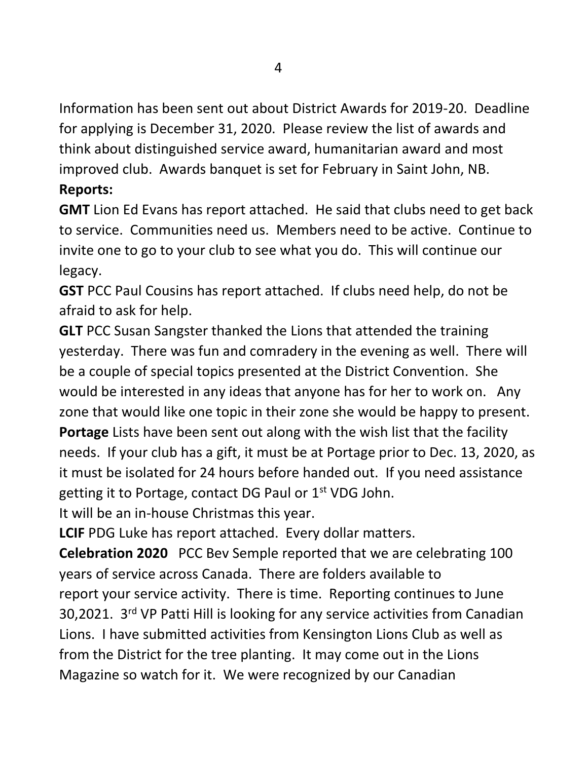Information has been sent out about District Awards for 2019-20. Deadline for applying is December 31, 2020. Please review the list of awards and think about distinguished service award, humanitarian award and most improved club. Awards banquet is set for February in Saint John, NB. **Reports:**

**GMT** Lion Ed Evans has report attached. He said that clubs need to get back to service. Communities need us. Members need to be active. Continue to invite one to go to your club to see what you do. This will continue our legacy.

**GST** PCC Paul Cousins has report attached. If clubs need help, do not be afraid to ask for help.

**GLT** PCC Susan Sangster thanked the Lions that attended the training yesterday. There was fun and comradery in the evening as well. There will be a couple of special topics presented at the District Convention. She would be interested in any ideas that anyone has for her to work on. Any zone that would like one topic in their zone she would be happy to present.

**Portage** Lists have been sent out along with the wish list that the facility needs. If your club has a gift, it must be at Portage prior to Dec. 13, 2020, as it must be isolated for 24 hours before handed out. If you need assistance getting it to Portage, contact DG Paul or  $1<sup>st</sup>$  VDG John.

It will be an in-house Christmas this year.

**LCIF** PDG Luke has report attached. Every dollar matters.

**Celebration 2020** PCC Bev Semple reported that we are celebrating 100 years of service across Canada. There are folders available to report your service activity. There is time. Reporting continues to June 30,2021. 3rd VP Patti Hill is looking for any service activities from Canadian Lions. I have submitted activities from Kensington Lions Club as well as from the District for the tree planting. It may come out in the Lions Magazine so watch for it. We were recognized by our Canadian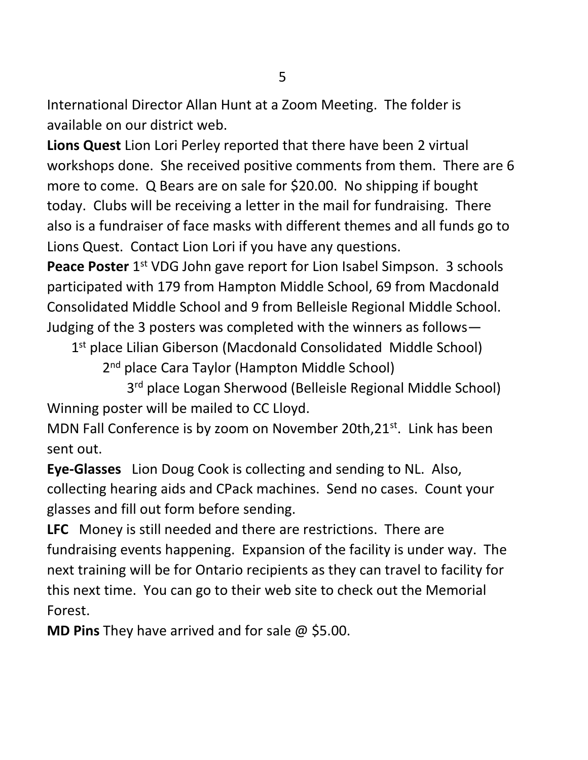International Director Allan Hunt at a Zoom Meeting. The folder is available on our district web.

**Lions Quest** Lion Lori Perley reported that there have been 2 virtual workshops done. She received positive comments from them. There are 6 more to come. Q Bears are on sale for \$20.00. No shipping if bought today. Clubs will be receiving a letter in the mail for fundraising. There also is a fundraiser of face masks with different themes and all funds go to Lions Quest. Contact Lion Lori if you have any questions.

Peace Poster 1<sup>st</sup> VDG John gave report for Lion Isabel Simpson. 3 schools participated with 179 from Hampton Middle School, 69 from Macdonald Consolidated Middle School and 9 from Belleisle Regional Middle School. Judging of the 3 posters was completed with the winners as follows—

1<sup>st</sup> place Lilian Giberson (Macdonald Consolidated Middle School)

2<sup>nd</sup> place Cara Taylor (Hampton Middle School)

 3 3<sup>rd</sup> place Logan Sherwood (Belleisle Regional Middle School) Winning poster will be mailed to CC Lloyd.

MDN Fall Conference is by zoom on November 20th, 21<sup>st</sup>. Link has been sent out.

**Eye-Glasses** Lion Doug Cook is collecting and sending to NL. Also, collecting hearing aids and CPack machines. Send no cases. Count your glasses and fill out form before sending.

**LFC** Money is still needed and there are restrictions. There are fundraising events happening. Expansion of the facility is under way. The next training will be for Ontario recipients as they can travel to facility for this next time. You can go to their web site to check out the Memorial Forest.

**MD Pins** They have arrived and for sale @ \$5.00.